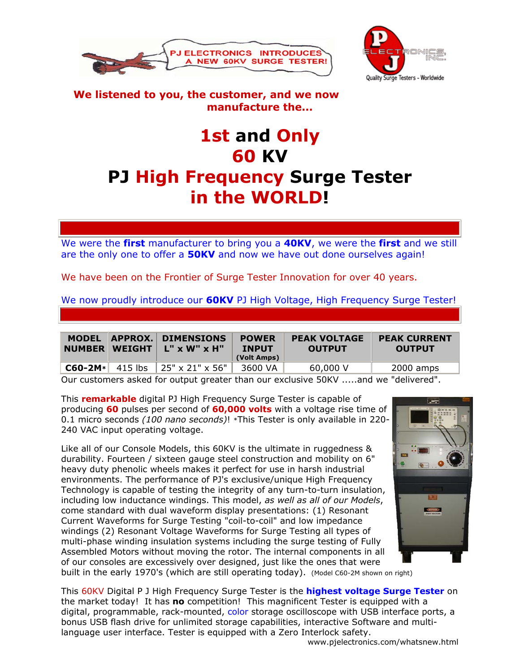



## **We listened to you, the customer, and we now manufacture the...**

## **1st and Only 60 KV PJ High Frequency Surge Tester in the WORLD!**

We were the **first** manufacturer to bring you a **40KV**, we were the **first** and we still are the only one to offer a **50KV** and now we have out done ourselves again!

We have been on the Frontier of Surge Tester Innovation for over 40 years.

We now proudly introduce our **60KV** PJ High Voltage, High Frequency Surge Tester!

| <b>MODEL</b><br><b>NUMBER WEIGHT</b> |         | <b>APPROX. DIMENSIONS</b><br>L" x W" x H" | <b>POWER</b><br><b>INPUT</b><br>(Volt Amps) | <b>PEAK VOLTAGE</b><br><b>OUTPUT</b> | <b>PEAK CURRENT</b><br><b>OUTPUT</b> |
|--------------------------------------|---------|-------------------------------------------|---------------------------------------------|--------------------------------------|--------------------------------------|
| $C60 - 2M*$                          | 415 lbs | $\parallel$ 25" x 21" x 56"               | 3600 VA                                     | 60,000 V                             | 2000 amps                            |
| $\sim$                               |         |                                           |                                             | -----                                |                                      |

Our customers asked for output greater than our exclusive 50KV .....and we "delivered".

This **remarkable** digital PJ High Frequency Surge Tester is capable of producing **60** pulses per second of **60,000 volts** with a voltage rise time of 0.1 micro seconds *(100 nano seconds)*! \*This Tester is only available in 220- 240 VAC input operating voltage.

Like all of our Console Models, this 60KV is the ultimate in ruggedness & durability. Fourteen / sixteen gauge steel construction and mobility on 6" heavy duty phenolic wheels makes it perfect for use in harsh industrial environments. The performance of PJ's exclusive/unique High Frequency Technology is capable of testing the integrity of any turn-to-turn insulation, including low inductance windings. This model, *as well as all of our Models*, come standard with dual waveform display presentations: (1) Resonant Current Waveforms for Surge Testing "coil-to-coil" and low impedance windings (2) Resonant Voltage Waveforms for Surge Testing all types of multi-phase winding insulation systems including the surge testing of Fully Assembled Motors without moving the rotor. The internal components in all of our consoles are excessively over designed, just like the ones that were built in the early 1970's (which are still operating today). (Model C60-2M shown on right)



This 60KV Digital P J High Frequency Surge Tester is the **highest voltage Surge Tester** on the market today! It has **no** competition! This magnificent Tester is equipped with a digital, programmable, rack-mounted, color storage oscilloscope with USB interface ports, a bonus USB flash drive for unlimited storage capabilities, interactive Software and multilanguage user interface. Tester is equipped with a Zero Interlock safety.

www.pjelectronics.com/whatsnew.html